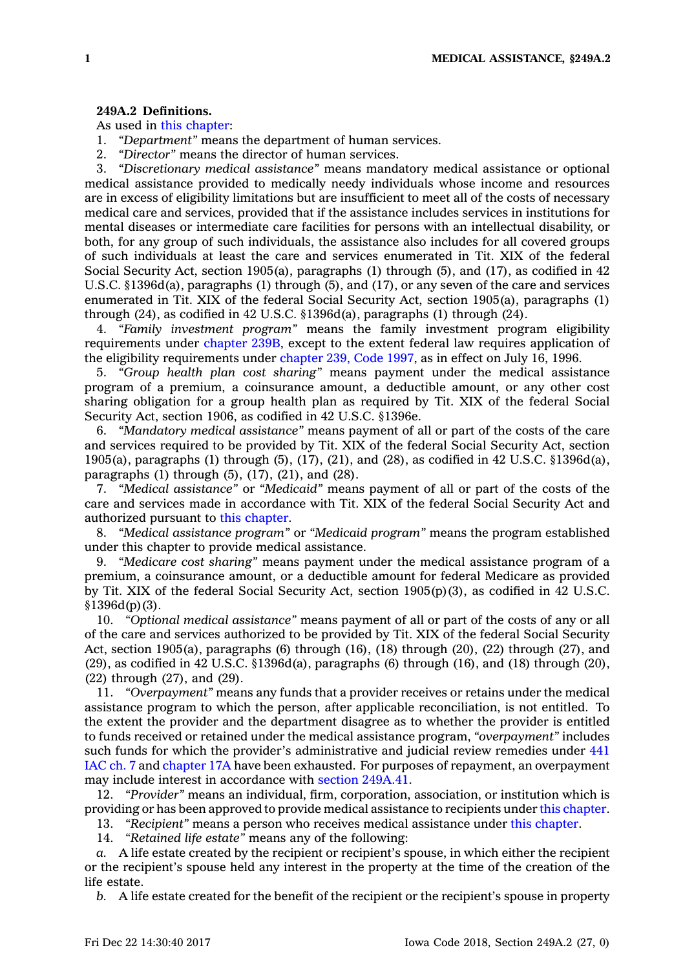## **249A.2 Definitions.**

As used in this [chapter](https://www.legis.iowa.gov/docs/code//249A.pdf):

- 1. *"Department"* means the department of human services.
- 2. *"Director"* means the director of human services.

3. *"Discretionary medical assistance"* means mandatory medical assistance or optional medical assistance provided to medically needy individuals whose income and resources are in excess of eligibility limitations but are insufficient to meet all of the costs of necessary medical care and services, provided that if the assistance includes services in institutions for mental diseases or intermediate care facilities for persons with an intellectual disability, or both, for any group of such individuals, the assistance also includes for all covered groups of such individuals at least the care and services enumerated in Tit. XIX of the federal Social Security Act, section 1905(a), paragraphs (1) through (5), and (17), as codified in 42 U.S.C. §1396d(a), paragraphs (1) through (5), and (17), or any seven of the care and services enumerated in Tit. XIX of the federal Social Security Act, section 1905(a), paragraphs (1) through  $(24)$ , as codified in 42 U.S.C. §1396d(a), paragraphs (1) through  $(24)$ .

4. *"Family investment program"* means the family investment program eligibility requirements under [chapter](https://www.legis.iowa.gov/docs/code//239B.pdf) 239B, except to the extent federal law requires application of the eligibility requirements under [chapter](https://www.legis.iowa.gov/docs/code/1997/239.pdf) 239, Code 1997, as in effect on July 16, 1996.

5. *"Group health plan cost sharing"* means payment under the medical assistance program of <sup>a</sup> premium, <sup>a</sup> coinsurance amount, <sup>a</sup> deductible amount, or any other cost sharing obligation for <sup>a</sup> group health plan as required by Tit. XIX of the federal Social Security Act, section 1906, as codified in 42 U.S.C. §1396e.

6. *"Mandatory medical assistance"* means payment of all or part of the costs of the care and services required to be provided by Tit. XIX of the federal Social Security Act, section 1905(a), paragraphs (1) through (5), (17), (21), and (28), as codified in 42 U.S.C. §1396d(a), paragraphs  $(1)$  through  $(5)$ ,  $(17)$ ,  $(21)$ , and  $(28)$ .

7. *"Medical assistance"* or *"Medicaid"* means payment of all or part of the costs of the care and services made in accordance with Tit. XIX of the federal Social Security Act and authorized pursuant to this [chapter](https://www.legis.iowa.gov/docs/code//249A.pdf).

8. *"Medical assistance program"* or *"Medicaid program"* means the program established under this chapter to provide medical assistance.

9. *"Medicare cost sharing"* means payment under the medical assistance program of <sup>a</sup> premium, <sup>a</sup> coinsurance amount, or <sup>a</sup> deductible amount for federal Medicare as provided by Tit. XIX of the federal Social Security Act, section 1905(p)(3), as codified in 42 U.S.C.  $$1396d(p)(3)$ .

10. *"Optional medical assistance"* means payment of all or part of the costs of any or all of the care and services authorized to be provided by Tit. XIX of the federal Social Security Act, section 1905(a), paragraphs (6) through  $(16)$ ,  $(18)$  through  $(20)$ ,  $(22)$  through  $(27)$ , and (29), as codified in 42 U.S.C. §1396d(a), paragraphs (6) through (16), and (18) through (20), (22) through (27), and (29).

11. *"Overpayment"* means any funds that <sup>a</sup> provider receives or retains under the medical assistance program to which the person, after applicable reconciliation, is not entitled. To the extent the provider and the department disagree as to whether the provider is entitled to funds received or retained under the medical assistance program, *"overpayment"* includes such funds for which the provider's administrative and judicial review remedies under [441](https://www.legis.iowa.gov/docs/ACO/chapter/441.7.pdf) [IAC](https://www.legis.iowa.gov/docs/ACO/chapter/441.7.pdf) ch. 7 and [chapter](https://www.legis.iowa.gov/docs/code//17A.pdf) 17A have been exhausted. For purposes of repayment, an overpayment may include interest in accordance with section [249A.41](https://www.legis.iowa.gov/docs/code/249A.41.pdf).

12. *"Provider"* means an individual, firm, corporation, association, or institution which is providing or has been approved to provide medical assistance to recipients under this [chapter](https://www.legis.iowa.gov/docs/code//249A.pdf).

13. *"Recipient"* means <sup>a</sup> person who receives medical assistance under this [chapter](https://www.legis.iowa.gov/docs/code//249A.pdf).

14. *"Retained life estate"* means any of the following:

*a.* A life estate created by the recipient or recipient's spouse, in which either the recipient or the recipient's spouse held any interest in the property at the time of the creation of the life estate.

*b.* A life estate created for the benefit of the recipient or the recipient's spouse in property